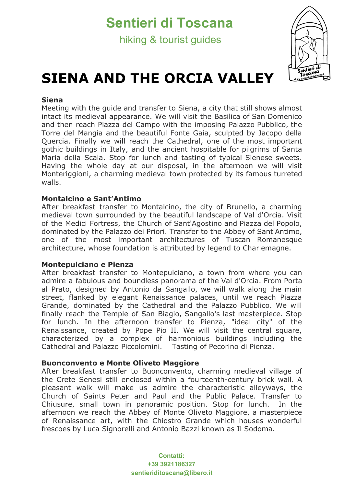# **Sentieri di Toscana**

hiking & tourist guides



# **SIENA AND THE ORCIA VALLEY**

### **Siena**

Meeting with the guide and transfer to Siena, a city that still shows almost intact its medieval appearance. We will visit the Basilica of San Domenico and then reach Piazza del Campo with the imposing Palazzo Pubblico, the Torre del Mangia and the beautiful Fonte Gaia, sculpted by Jacopo della Quercia. Finally we will reach the Cathedral, one of the most important gothic buildings in Italy, and the ancient hospitable for pilgrims of Santa Maria della Scala. Stop for lunch and tasting of typical Sienese sweets. Having the whole day at our disposal, in the afternoon we will visit Monteriggioni, a charming medieval town protected by its famous turreted walls.

### **Montalcino e Sant'Antimo**

After breakfast transfer to Montalcino, the city of Brunello, a charming medieval town surrounded by the beautiful landscape of Val d'Orcia. Visit of the Medici Fortress, the Church of Sant'Agostino and Piazza del Popolo, dominated by the Palazzo dei Priori. Transfer to the Abbey of Sant'Antimo, one of the most important architectures of Tuscan Romanesque architecture, whose foundation is attributed by legend to Charlemagne.

#### **Montepulciano e Pienza**

After breakfast transfer to Montepulciano, a town from where you can admire a fabulous and boundless panorama of the Val d'Orcia. From Porta al Prato, designed by Antonio da Sangallo, we will walk along the main street, flanked by elegant Renaissance palaces, until we reach Piazza Grande, dominated by the Cathedral and the Palazzo Pubblico. We will finally reach the Temple of San Biagio, Sangallo's last masterpiece. Stop for lunch. In the afternoon transfer to Pienza, "ideal city" of the Renaissance, created by Pope Pio II. We will visit the central square, characterized by a complex of harmonious buildings including the Cathedral and Palazzo Piccolomini. Tasting of Pecorino di Pienza.

#### **Buonconvento e Monte Oliveto Maggiore**

After breakfast transfer to Buonconvento, charming medieval village of the Crete Senesi still enclosed within a fourteenth-century brick wall. A pleasant walk will make us admire the characteristic alleyways, the Church of Saints Peter and Paul and the Public Palace. Transfer to Chiusure, small town in panoramic position. Stop for lunch. In the afternoon we reach the Abbey of Monte Oliveto Maggiore, a masterpiece of Renaissance art, with the Chiostro Grande which houses wonderful frescoes by Luca Signorelli and Antonio Bazzi known as Il Sodoma.